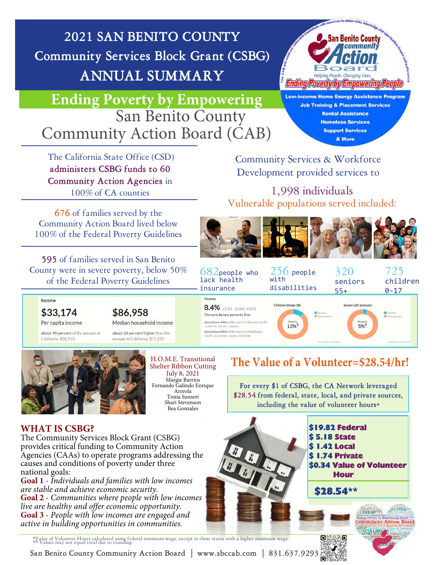**2021 SAN BENITO COUNTY Community Services Block Grant (CSBG) ANNUAL SUMMARY**



### **Ending Poverty by Empowering San Benito County** Community Action Board (CAB)

**Low-Income Home Energy Assistance Program Job Training & Placement Services Rental Assistance Homeless Services Support Services** & More

 The California State Office (CSD) **administers CSBG funds to 60 Community Action Agencies** in 100% of CA counties

**676** of families served by the Community Action Board lived below 100% of the Federal Poverty Guidelines

**595** of families served in San Benito County we of the  $\theta$ 

Community Services & Workforce Development provided services to

1,998 individuals Vulnerable populations served included:



| unty were in severe poverty, below 50%<br>of the Federal Poverty Guidelines    |                                                                                               | $682$ people who<br>lack health<br>insurance                                                                                                                              | $256$ people<br>with<br>disabilities           | 320<br>seniors<br>$55+$ | 725<br>children<br>$0 - 17$   |
|--------------------------------------------------------------------------------|-----------------------------------------------------------------------------------------------|---------------------------------------------------------------------------------------------------------------------------------------------------------------------------|------------------------------------------------|-------------------------|-------------------------------|
| Income<br>\$33,174                                                             | \$86,958                                                                                      | Poverty<br>8.4% ±1.5% (5,061 ±923)<br>Persons below poverty line                                                                                                          | Children (Under 18)<br>Poverty.<br>Non-powerty | Seniors (65 and over)   | Powerty<br><b>Non-polarty</b> |
| Per capita income<br>about 90 percent of the amount in<br>California: \$36,955 | Median household income<br>about 20 percent higher than the<br>amount in California: \$75,235 | about three-fifths of the rate in California: 13.4%<br>5.149.742 (±0.1%/±38.666)<br>about three-fifths of the rate in United States:<br>13.4% 42.510.843 (±0.1%/±279.418) | Poverty<br>13%<br>Sternule Public 2. Forms     | Poverty<br>5%           | Show eats 7 Embred            |



H.O.M.E. Transitional Shelter Ribbon Cutting July 8, 2021 Margie Barrios Fernando Galindo Enrique Arreola Tonia Sunseri Shari Stevenson Bea Gonzales

### **The Value of a Volunteer=\$28.54/hr!**

**For every \$1 of CSBG, the CA Network leveraged \$28.54 from federal, state, local, and private sources, including the value of volunteer hours\***

**MVITA** 

Inding Powerty by Empowering People<br>Ommunity Action Board

**LIHEAPVIL** 

VITALIHE

#### **WHAT IS CSBG?**

The Community Services Block Grant (CSBG) provides critical funding to Community Action Agencies (CAAs) to operate programs addressing the causes and conditions of poverty under three national goals:

**Goal 1** - *Individuals and families with low incomes are stable and achieve economic security.* **Goal 2** - *Communities where people with low incomes live are healthy and offer economic opportunity.*  **Goal 3** - *People with low incomes are engaged and active in building opportunities in communities.*

\$19.82 Federal **18 State** \$ 1.42 Local \$ 1.74 Private \$0.34 Value of Volunteer Hour \$28.54\*\*

\*Value of Volunteer Hours calculated using federal minimum wage, except in those states with a higher minimum wage. \*\* Values may not equal total due to rounding

**San Benito County Community Action Board | www.sbccab.com | 831.637.9293**